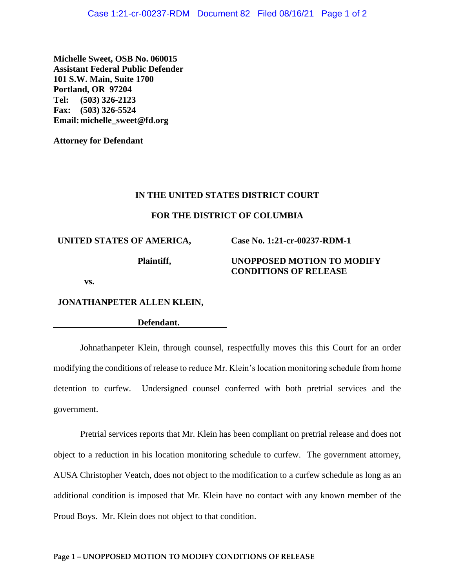**Michelle Sweet, OSB No. 060015 Assistant Federal Public Defender 101 S.W. Main, Suite 1700 Portland, OR 97204 Tel: (503) 326-2123 Fax: (503) 326-5524 Email:michelle\_sweet@fd.org**

**Attorney for Defendant**

### **IN THE UNITED STATES DISTRICT COURT**

### **FOR THE DISTRICT OF COLUMBIA**

**UNITED STATES OF AMERICA,**

**Plaintiff,**

# **UNOPPOSED MOTION TO MODIFY CONDITIONS OF RELEASE**

**Case No. 1:21-cr-00237-RDM-1**

**vs.**

## **JONATHANPETER ALLEN KLEIN,**

**Defendant.**

Johnathanpeter Klein, through counsel, respectfully moves this this Court for an order modifying the conditions of release to reduce Mr. Klein's location monitoring schedule from home detention to curfew. Undersigned counsel conferred with both pretrial services and the government.

Pretrial services reports that Mr. Klein has been compliant on pretrial release and does not object to a reduction in his location monitoring schedule to curfew. The government attorney, AUSA Christopher Veatch, does not object to the modification to a curfew schedule as long as an additional condition is imposed that Mr. Klein have no contact with any known member of the Proud Boys. Mr. Klein does not object to that condition.